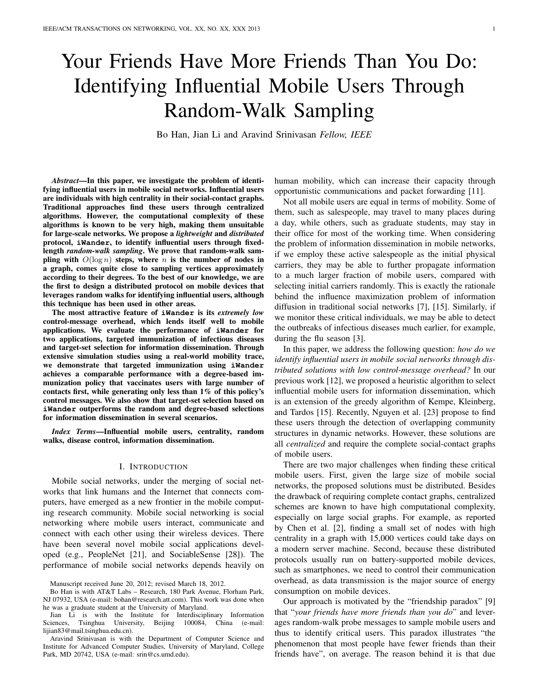# Your Friends Have More Friends Than You Do: Identifying Influential Mobile Users Through Random-Walk Sampling

Bo Han, Jian Li and Aravind Srinivasan *Fellow, IEEE*

*Abstract*—In this paper, we investigate the problem of identifying influential users in mobile social networks. Influential users are individuals with high centrality in their social-contact graphs. Traditional approaches find these users through centralized algorithms. However, the computational complexity of these algorithms is known to be very high, making them unsuitable for large-scale networks. We propose a *lightweight* and *distributed* protocol, **iWander**, to identify influential users through fixedlength *random-walk sampling*. We prove that random-walk sampling with  $O(\log n)$  steps, where *n* is the number of nodes in a graph, comes quite close to sampling vertices approximately according to their degrees. To the best of our knowledge, we are the first to design a distributed protocol on mobile devices that leverages random walks for identifying influential users, although this technique has been used in other areas.

The most attractive feature of **iWander** is its *extremely low* control-message overhead, which lends itself well to mobile applications. We evaluate the performance of **iWander** for two applications, targeted immunization of infectious diseases and target-set selection for information dissemination. Through extensive simulation studies using a real-world mobility trace, we demonstrate that targeted immunization using **iWander** achieves a comparable performance with a degree-based immunization policy that vaccinates users with large number of contacts first, while generating only less than 1% of this policy's control messages. We also show that target-set selection based on **iWander** outperforms the random and degree-based selections for information dissemination in several scenarios.

*Index Terms*—Influential mobile users, centrality, random walks, disease control, information dissemination.

### I. INTRODUCTION

Mobile social networks, under the merging of social networks that link humans and the Internet that connects computers, have emerged as a new frontier in the mobile computing research community. Mobile social networking is social networking where mobile users interact, communicate and connect with each other using their wireless devices. There have been several novel mobile social applications developed (e.g., PeopleNet [21], and SociableSense [28]). The performance of mobile social networks depends heavily on

human mobility, which can increase their capacity through opportunistic communications and packet forwarding [11].

Not all mobile users are equal in terms of mobility. Some of them, such as salespeople, may travel to many places during a day, while others, such as graduate students, may stay in their office for most of the working time. When considering the problem of information dissemination in mobile networks, if we employ these active salespeople as the initial physical carriers, they may be able to further propagate information to a much larger fraction of mobile users, compared with selecting initial carriers randomly. This is exactly the rationale behind the influence maximization problem of information diffusion in traditional social networks [7], [15]. Similarly, if we monitor these critical individuals, we may be able to detect the outbreaks of infectious diseases much earlier, for example, during the flu season [3].

In this paper, we address the following question: *how do we identify influential users in mobile social networks through distributed solutions with low control-message overhead?* In our previous work [12], we proposed a heuristic algorithm to select influential mobile users for information dissemination, which is an extension of the greedy algorithm of Kempe, Kleinberg, and Tardos [15]. Recently, Nguyen et al. [23] propose to find these users through the detection of overlapping community structures in dynamic networks. However, these solutions are all *centralized* and require the complete social-contact graphs of mobile users.

There are two major challenges when finding these critical mobile users. First, given the large size of mobile social networks, the proposed solutions must be distributed. Besides the drawback of requiring complete contact graphs, centralized schemes are known to have high computational complexity, especially on large social graphs. For example, as reported by Chen et al. [2], finding a small set of nodes with high centrality in a graph with 15,000 vertices could take days on a modern server machine. Second, because these distributed protocols usually run on battery-supported mobile devices, such as smartphones, we need to control their communication overhead, as data transmission is the major source of energy consumption on mobile devices.

Our approach is motivated by the "friendship paradox" [9] that "*your friends have more friends than you do*" and leverages random-walk probe messages to sample mobile users and thus to identify critical users. This paradox illustrates "the phenomenon that most people have fewer friends than their friends have", on average. The reason behind it is that due

Manuscript received June 20, 2012; revised March 18, 2012.

Bo Han is with AT&T Labs – Research, 180 Park Avenue, Florham Park, NJ 07932, USA (e-mail: bohan@research.att.com). This work was done when he was a graduate student at the University of Maryland.

Jian Li is with the Institute for Interdisciplinary Information Sciences, Tsinghua University, Beijing 100084, China (e-mail: lijian83@mail.tsinghua.edu.cn).

Aravind Srinivasan is with the Department of Computer Science and Institute for Advanced Computer Studies, University of Maryland, College Park, MD 20742, USA (e-mail: srin@cs.umd.edu).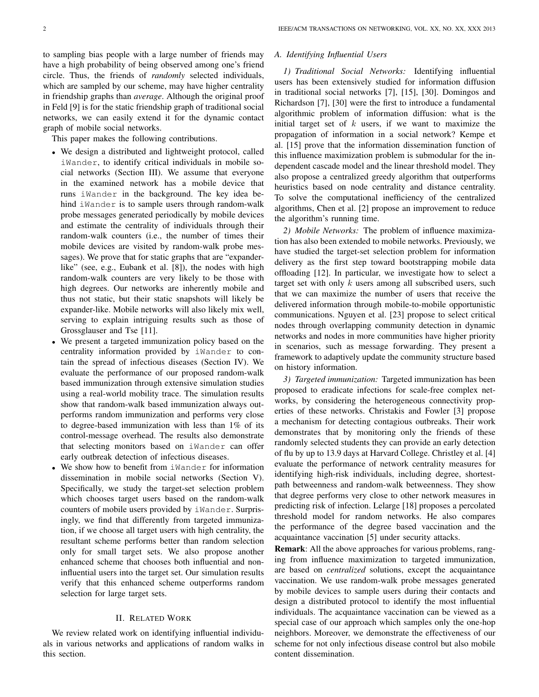to sampling bias people with a large number of friends may have a high probability of being observed among one's friend circle. Thus, the friends of *randomly* selected individuals, which are sampled by our scheme, may have higher centrality in friendship graphs than *average*. Although the original proof in Feld [9] is for the static friendship graph of traditional social networks, we can easily extend it for the dynamic contact graph of mobile social networks.

This paper makes the following contributions.

- *•* We design a distributed and lightweight protocol, called iWander, to identify critical individuals in mobile social networks (Section III). We assume that everyone in the examined network has a mobile device that runs iWander in the background. The key idea behind iWander is to sample users through random-walk probe messages generated periodically by mobile devices and estimate the centrality of individuals through their random-walk counters (i.e., the number of times their mobile devices are visited by random-walk probe messages). We prove that for static graphs that are "expanderlike" (see, e.g., Eubank et al. [8]), the nodes with high random-walk counters are very likely to be those with high degrees. Our networks are inherently mobile and thus not static, but their static snapshots will likely be expander-like. Mobile networks will also likely mix well, serving to explain intriguing results such as those of Grossglauser and Tse [11].
- *•* We present a targeted immunization policy based on the centrality information provided by iWander to contain the spread of infectious diseases (Section IV). We evaluate the performance of our proposed random-walk based immunization through extensive simulation studies using a real-world mobility trace. The simulation results show that random-walk based immunization always outperforms random immunization and performs very close to degree-based immunization with less than 1% of its control-message overhead. The results also demonstrate that selecting monitors based on iWander can offer early outbreak detection of infectious diseases.
- We show how to benefit from iWander for information dissemination in mobile social networks (Section V). Specifically, we study the target-set selection problem which chooses target users based on the random-walk counters of mobile users provided by iWander. Surprisingly, we find that differently from targeted immunization, if we choose all target users with high centrality, the resultant scheme performs better than random selection only for small target sets. We also propose another enhanced scheme that chooses both influential and noninfluential users into the target set. Our simulation results verify that this enhanced scheme outperforms random selection for large target sets.

## II. RELATED WORK

We review related work on identifying influential individuals in various networks and applications of random walks in this section.

#### *A. Identifying Influential Users*

*1) Traditional Social Networks:* Identifying influential users has been extensively studied for information diffusion in traditional social networks [7], [15], [30]. Domingos and Richardson [7], [30] were the first to introduce a fundamental algorithmic problem of information diffusion: what is the initial target set of *k* users, if we want to maximize the propagation of information in a social network? Kempe et al. [15] prove that the information dissemination function of this influence maximization problem is submodular for the independent cascade model and the linear threshold model. They also propose a centralized greedy algorithm that outperforms heuristics based on node centrality and distance centrality. To solve the computational inefficiency of the centralized algorithms, Chen et al. [2] propose an improvement to reduce the algorithm's running time.

*2) Mobile Networks:* The problem of influence maximization has also been extended to mobile networks. Previously, we have studied the target-set selection problem for information delivery as the first step toward bootstrapping mobile data offloading [12]. In particular, we investigate how to select a target set with only *k* users among all subscribed users, such that we can maximize the number of users that receive the delivered information through mobile-to-mobile opportunistic communications. Nguyen et al. [23] propose to select critical nodes through overlapping community detection in dynamic networks and nodes in more communities have higher priority in scenarios, such as message forwarding. They present a framework to adaptively update the community structure based on history information.

*3) Targeted immunization:* Targeted immunization has been proposed to eradicate infections for scale-free complex networks, by considering the heterogeneous connectivity properties of these networks. Christakis and Fowler [3] propose a mechanism for detecting contagious outbreaks. Their work demonstrates that by monitoring only the friends of these randomly selected students they can provide an early detection of flu by up to 13.9 days at Harvard College. Christley et al. [4] evaluate the performance of network centrality measures for identifying high-risk individuals, including degree, shortestpath betweenness and random-walk betweenness. They show that degree performs very close to other network measures in predicting risk of infection. Lelarge [18] proposes a percolated threshold model for random networks. He also compares the performance of the degree based vaccination and the acquaintance vaccination [5] under security attacks.

Remark: All the above approaches for various problems, ranging from influence maximization to targeted immunization, are based on *centralized* solutions, except the acquaintance vaccination. We use random-walk probe messages generated by mobile devices to sample users during their contacts and design a distributed protocol to identify the most influential individuals. The acquaintance vaccination can be viewed as a special case of our approach which samples only the one-hop neighbors. Moreover, we demonstrate the effectiveness of our scheme for not only infectious disease control but also mobile content dissemination.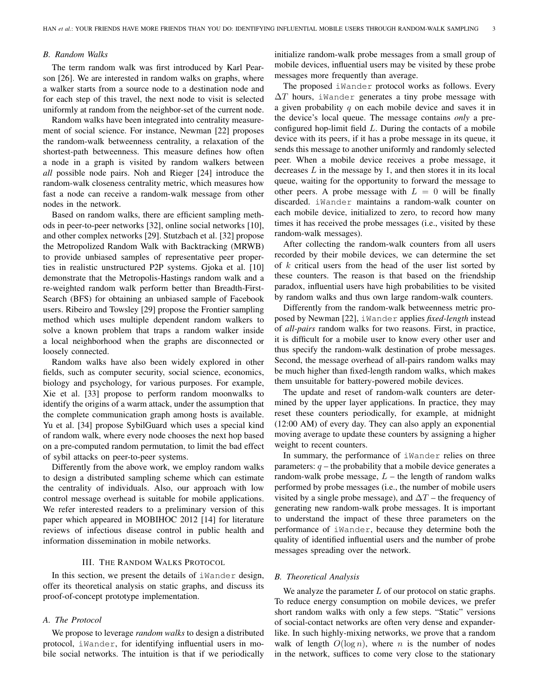#### *B. Random Walks*

The term random walk was first introduced by Karl Pearson [26]. We are interested in random walks on graphs, where a walker starts from a source node to a destination node and for each step of this travel, the next node to visit is selected uniformly at random from the neighbor-set of the current node.

Random walks have been integrated into centrality measurement of social science. For instance, Newman [22] proposes the random-walk betweenness centrality, a relaxation of the shortest-path betweenness. This measure defines how often a node in a graph is visited by random walkers between *all* possible node pairs. Noh and Rieger [24] introduce the random-walk closeness centrality metric, which measures how fast a node can receive a random-walk message from other nodes in the network.

Based on random walks, there are efficient sampling methods in peer-to-peer networks [32], online social networks [10], and other complex networks [29]. Stutzbach et al. [32] propose the Metropolized Random Walk with Backtracking (MRWB) to provide unbiased samples of representative peer properties in realistic unstructured P2P systems. Gjoka et al. [10] demonstrate that the Metropolis-Hastings random walk and a re-weighted random walk perform better than Breadth-First-Search (BFS) for obtaining an unbiased sample of Facebook users. Ribeiro and Towsley [29] propose the Frontier sampling method which uses multiple dependent random walkers to solve a known problem that traps a random walker inside a local neighborhood when the graphs are disconnected or loosely connected.

Random walks have also been widely explored in other fields, such as computer security, social science, economics, biology and psychology, for various purposes. For example, Xie et al. [33] propose to perform random moonwalks to identify the origins of a warm attack, under the assumption that the complete communication graph among hosts is available. Yu et al. [34] propose SybilGuard which uses a special kind of random walk, where every node chooses the next hop based on a pre-computed random permutation, to limit the bad effect of sybil attacks on peer-to-peer systems.

Differently from the above work, we employ random walks to design a distributed sampling scheme which can estimate the centrality of individuals. Also, our approach with low control message overhead is suitable for mobile applications. We refer interested readers to a preliminary version of this paper which appeared in MOBIHOC 2012 [14] for literature reviews of infectious disease control in public health and information dissemination in mobile networks.

## III. THE RANDOM WALKS PROTOCOL

In this section, we present the details of iWander design, offer its theoretical analysis on static graphs, and discuss its proof-of-concept prototype implementation.

## *A. The Protocol*

We propose to leverage *random walks* to design a distributed protocol, iWander, for identifying influential users in mobile social networks. The intuition is that if we periodically initialize random-walk probe messages from a small group of mobile devices, influential users may be visited by these probe messages more frequently than average.

The proposed iWander protocol works as follows. Every ∆*T* hours, iWander generates a tiny probe message with a given probability *q* on each mobile device and saves it in the device's local queue. The message contains *only* a preconfigured hop-limit field *L*. During the contacts of a mobile device with its peers, if it has a probe message in its queue, it sends this message to another uniformly and randomly selected peer. When a mobile device receives a probe message, it decreases *L* in the message by 1, and then stores it in its local queue, waiting for the opportunity to forward the message to other peers. A probe message with  $L = 0$  will be finally discarded. iWander maintains a random-walk counter on each mobile device, initialized to zero, to record how many times it has received the probe messages (i.e., visited by these random-walk messages).

After collecting the random-walk counters from all users recorded by their mobile devices, we can determine the set of *k* critical users from the head of the user list sorted by these counters. The reason is that based on the friendship paradox, influential users have high probabilities to be visited by random walks and thus own large random-walk counters.

Differently from the random-walk betweenness metric proposed by Newman [22], iWander applies *fixed-length* instead of *all-pairs* random walks for two reasons. First, in practice, it is difficult for a mobile user to know every other user and thus specify the random-walk destination of probe messages. Second, the message overhead of all-pairs random walks may be much higher than fixed-length random walks, which makes them unsuitable for battery-powered mobile devices.

The update and reset of random-walk counters are determined by the upper layer applications. In practice, they may reset these counters periodically, for example, at midnight (12:00 AM) of every day. They can also apply an exponential moving average to update these counters by assigning a higher weight to recent counters.

In summary, the performance of iWander relies on three parameters:  $q$  – the probability that a mobile device generates a random-walk probe message,  $L$  – the length of random walks performed by probe messages (i.e., the number of mobile users visited by a single probe message), and  $\Delta T$  – the frequency of generating new random-walk probe messages. It is important to understand the impact of these three parameters on the performance of iWander, because they determine both the quality of identified influential users and the number of probe messages spreading over the network.

#### *B. Theoretical Analysis*

We analyze the parameter *L* of our protocol on static graphs. To reduce energy consumption on mobile devices, we prefer short random walks with only a few steps. "Static" versions of social-contact networks are often very dense and expanderlike. In such highly-mixing networks, we prove that a random walk of length  $O(\log n)$ , where *n* is the number of nodes in the network, suffices to come very close to the stationary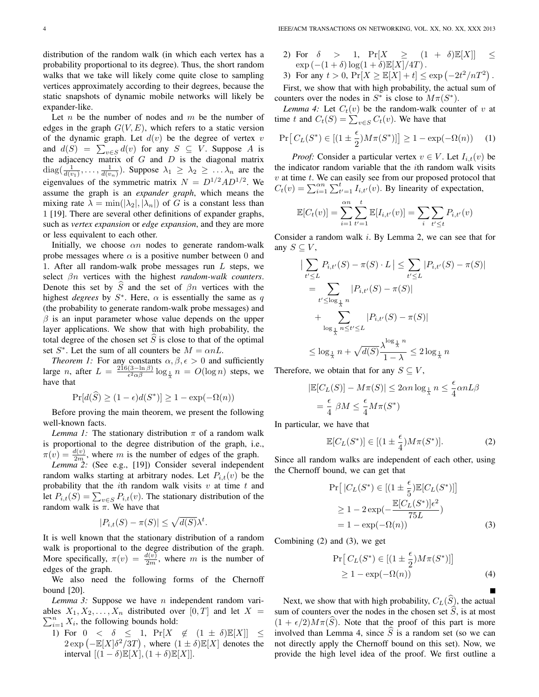distribution of the random walk (in which each vertex has a probability proportional to its degree). Thus, the short random walks that we take will likely come quite close to sampling vertices approximately according to their degrees, because the static snapshots of dynamic mobile networks will likely be expander-like.

Let *n* be the number of nodes and *m* be the number of edges in the graph  $G(V, E)$ , which refers to a static version of the dynamic graph. Let  $d(v)$  be the degree of vertex  $v$ and  $d(S) = \sum_{v \in S} d(v)$  for any  $S \subseteq V$ . Suppose *A* is the adjacency matrix of *G* and *D* is the diagonal matrix  $diag(\frac{1}{d(v_1)}, \ldots, \frac{1}{d(v_n)})$ . Suppose  $\lambda_1 \geq \lambda_2 \geq \ldots \lambda_n$  are the eigenvalues of the symmetric matrix  $N = D^{1/2}AD^{1/2}$ . We assume the graph is an *expander graph*, which means the mixing rate  $\lambda = \min(|\lambda_2|, |\lambda_n|)$  of *G* is a constant less than 1 [19]. There are several other definitions of expander graphs, such as *vertex expansion* or *edge expansion*, and they are more or less equivalent to each other.

Initially, we choose *αn* nodes to generate random-walk probe messages where  $\alpha$  is a positive number between 0 and 1. After all random-walk probe messages run *L* steps, we select *βn* vertices with the highest *random-walk counters*. Denote this set by  $\hat{S}$  and the set of  $\beta n$  vertices with the highest *degrees* by  $S^*$ . Here,  $\alpha$  is essentially the same as q (the probability to generate random-walk probe messages) and *β* is an input parameter whose value depends on the upper layer applications. We show that with high probability, the total degree of the chosen set  $\widehat{S}$  is close to that of the optimal set  $S^*$ . Let the sum of all counters be  $M = \alpha nL$ .

*Theorem 1:* For any constants  $\alpha, \beta, \epsilon > 0$  and sufficiently large *n*, after  $L = \frac{216(3-\ln \beta)}{\epsilon^2 \alpha \beta} \log_{\frac{1}{\lambda}} n = O(\log n)$  steps, we have that

$$
\Pr[d(S) \ge (1 - \epsilon)d(S^*)] \ge 1 - \exp(-\Omega(n))
$$

Before proving the main theorem, we present the following well-known facts.

*Lemma 1:* The stationary distribution  $\pi$  of a random walk is proportional to the degree distribution of the graph, i.e.,  $\pi(v) = \frac{d(v)}{2m}$ , where *m* is the number of edges of the graph.

*Lemma 2:* (See e.g., [19]) Consider several independent random walks starting at arbitrary nodes. Let  $P_{i,t}(v)$  be the probability that the *i*th random walk visits *v* at time *t* and let  $P_{i,t}(S) = \sum_{v \in S} P_{i,t}(v)$ . The stationary distribution of the random walk is  $\pi$ . We have that

$$
|P_{i,t}(S) - \pi(S)| \le \sqrt{d(S)}\lambda^t.
$$

It is well known that the stationary distribution of a random walk is proportional to the degree distribution of the graph. More specifically,  $\pi(v) = \frac{d(v)}{2m}$ , where *m* is the number of edges of the graph.

We also need the following forms of the Chernoff bound [20].

*Lemma 3:* Suppose we have *n* independent random variables  $X_1, X_2, \ldots, X_n$  distributed over  $[0, T]$  and let  $X =$  $\sum_{i=1}^{n} X_i$ , the following bounds hold:

1) For 
$$
0 < \delta \leq 1
$$
,  $\Pr[X \notin (1 \pm \delta)\mathbb{E}[X]] \leq 2 \exp\left(-\mathbb{E}[X]\delta^2/3T\right)$ , where  $(1 \pm \delta)\mathbb{E}[X]$  denotes the interval  $[(1-\delta)\mathbb{E}[X], (1+\delta)\mathbb{E}[X]].$ 

- 2) For  $\delta$  > 1,  $Pr[X \geq (1 + \delta)E[X]] \leq$  $\exp(-(1+\delta)\log(1+\delta)\mathbb{E}[X]/4T)$ .
- 3) For any  $t > 0$ ,  $Pr[X \ge \mathbb{E}[X] + t] \le \exp(-2t^2/nT^2)$ .

First, we show that with high probability, the actual sum of counters over the nodes in  $S^*$  is close to  $M\pi(S^*)$ .

*Lemma 4:* Let  $C_t(v)$  be the random-walk counter of *v* at time *t* and  $C_t(S) = \sum_{v \in S} C_t(v)$ . We have that

$$
\Pr[C_L(S^*) \in [(1 \pm \frac{\epsilon}{2})M\pi(S^*)]] \ge 1 - \exp(-\Omega(n)) \quad (1)
$$

*Proof:* Consider a particular vertex  $v \in V$ . Let  $I_{i,t}(v)$  be the indicator random variable that the *i*th random walk visits *v* at time *t*. We can easily see from our proposed protocol that  $C_t(v) = \sum_{i=1}^{\alpha n} \sum_{t'=1}^t I_{i,t'}(v)$ . By linearity of expectation,

$$
\mathbb{E}[C_t(v)] = \sum_{i=1}^{\alpha n} \sum_{t'=1}^t \mathbb{E}[I_{i,t'}(v)] = \sum_i \sum_{t' \le t} P_{i,t'}(v)
$$

Consider a random walk *i*. By Lemma 2, we can see that for any  $S \subseteq V$ ,

$$
\left| \sum_{t' \le L} P_{i,t'}(S) - \pi(S) \cdot L \right| \le \sum_{t' \le L} |P_{i,t'}(S) - \pi(S)|
$$
  
\n
$$
= \sum_{t' \le \log_{\frac{1}{\lambda}} n} |P_{i,t'}(S) - \pi(S)|
$$
  
\n
$$
+ \sum_{\log_{\frac{1}{\lambda}} n \le t' \le L} |P_{i,t'}(S) - \pi(S)|
$$
  
\n
$$
\le \log_{\frac{1}{\lambda}} n + \sqrt{d(S)} \frac{\lambda^{\log_{\frac{1}{\lambda}} n}}{1 - \lambda} \le 2 \log_{\frac{1}{\lambda}} n
$$

Therefore, we obtain that for any  $S \subseteq V$ ,

$$
|\mathbb{E}[C_L(S)] - M\pi(S)| \le 2\alpha n \log_{\frac{1}{\lambda}} n \le \frac{\epsilon}{4} \alpha n L\beta
$$
  
=  $\frac{\epsilon}{4} \beta M \le \frac{\epsilon}{4} M\pi(S^*)$ 

In particular, we have that

$$
\mathbb{E}[C_L(S^*)] \in [(1 \pm \frac{\epsilon}{4})M\pi(S^*)]. \tag{2}
$$

Since all random walks are independent of each other, using the Chernoff bound, we can get that

$$
\Pr[|C_L(S^*) \in [(1 \pm \frac{\epsilon}{5}) \mathbb{E}[C_L(S^*)]]]
$$
  
\n
$$
\geq 1 - 2 \exp(-\frac{\mathbb{E}[C_L(S^*)]\epsilon^2}{75L})
$$
  
\n
$$
= 1 - \exp(-\Omega(n))
$$
 (3)

Combining (2) and (3), we get

$$
\Pr[C_L(S^*) \in [(1 \pm \frac{\epsilon}{2})M\pi(S^*)]]
$$
  
\n
$$
\geq 1 - \exp(-\Omega(n))
$$
 (4)

Next, we show that with high probability,  $C_L(S)$ , the actual sum of counters over the nodes in the chosen set  $\hat{S}$ , is at most  $(1 + \epsilon/2)M\pi(\tilde{S})$ . Note that the proof of this part is more involved than Lemma 4, since  $S$  is a random set (so we can not directly apply the Chernoff bound on this set). Now, we provide the high level idea of the proof. We first outline a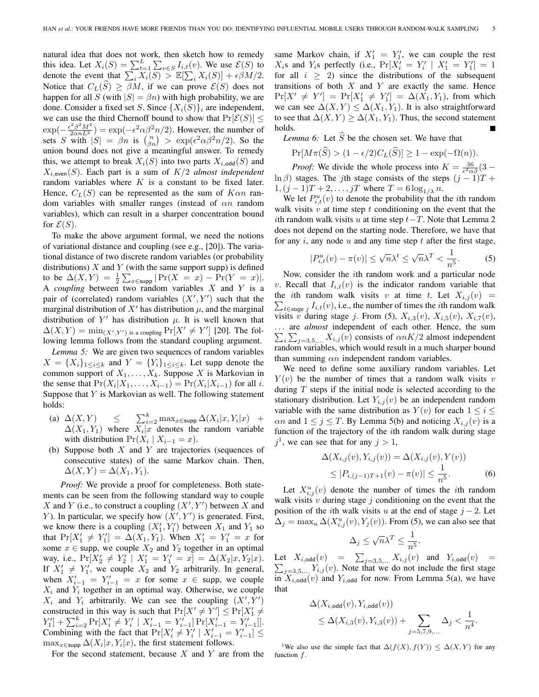natural idea that does not work, then sketch how to remedy this idea. Let  $X_i(S) = \sum_{t=1}^L \sum_{v \in S} I_{i,t}(v)$ . We use  $\mathcal{E}(S)$  to denote the event that  $\sum_i X_i(S) > \mathbb{E}[\sum_i X_i(S)] + \epsilon \beta M/2$ . Notice that  $C_L(S) \geq \beta M$ , if we can prove  $\mathcal{E}(S)$  does not happen for all *S* (with  $|S| = \beta n$ ) with high probability, we are done. Consider a fixed set *S*. Since  $\{X_i(S)\}\$ *i* are independent, we can use the third Chernoff bound to show that  $Pr[\mathcal{E}(S)] \leq$  $\exp(-\frac{\epsilon^2 \beta^2 M^2}{2 \alpha n L^2}) = \exp(-\epsilon^2 \alpha \beta^2 n/2)$ . However, the number of sets *S* with  $|S| = \beta n$  is  $\binom{n}{\beta n} > \exp(\epsilon^2 \alpha \beta^2 n/2)$ . So the union bound does not give a meaningful answer. To remedy this, we attempt to break  $X_i(S)$  into two parts  $X_{i,\text{odd}}(S)$  and *Xi,*even(*S*). Each part is a sum of *K/*2 *almost independent* random variables where *K* is a constant to be fixed later. Hence,  $C_L(S)$  can be represented as the sum of  $K \alpha n$  random variables with smaller ranges (instead of *αn* random variables), which can result in a sharper concentration bound for  $\mathcal{E}(S)$ .

To make the above argument formal, we need the notions of variational distance and coupling (see e.g., [20]). The variational distance of two discrete random variables (or probability distributions)  $X$  and  $Y$  (with the same support supp) is defined  $\text{to} \ \text{be} \ \Delta(X, Y) = \frac{1}{2} \sum_{x \in \text{supp}} | \Pr(X = x) - \Pr(Y = x) |.$ A *coupling* between two random variables *X* and *Y* is a pair of (correlated) random variables  $(X', Y')$  such that the marginal distribution of  $X'$  has distribution  $\mu$ , and the marginal distribution of Y' has distribution  $\mu$ . It is well known that  $\Delta(X, Y) = \min_{(X', Y')}$  is a coupling  $\Pr[X' \neq Y']$  [20]. The following lemma follows from the standard coupling argument.

*Lemma 5:* We are given two sequences of random variables  $X = \{X_i\}_{1 \leq i \leq k}$  and  $Y = \{Y_i\}_{1 \leq i \leq k}$ . Let supp denote the common support of  $X_1, \ldots, X_k$ . Suppose *X* is Markovian in the sense that  $Pr(X_i | X_1, ..., X_{i-1}) = Pr(X_i | X_{i-1})$  for all *i*. Suppose that *Y* is Markovian as well. The following statement holds:

- (a)  $\Delta(X, Y)$   $\leq \sum_{i=2}^{k} \max_{x \in \text{supp}} \Delta(X_i | x, Y_i | x)$  +  $\Delta(X_1, Y_1)$  where  $X_i|x$  denotes the random variable with distribution  $Pr(X_i | X_{i-1} = x)$ .
- (b) Suppose both *X* and *Y* are trajectories (sequences of consecutive states) of the same Markov chain. Then,  $\Delta(X,Y) = \Delta(X_1,Y_1).$

*Proof:* We provide a proof for completeness. Both statements can be seen from the following standard way to couple *X* and *Y* (i.e., to construct a coupling  $(X', Y')$  between *X* and *Y*). In particular, we specify how  $(X', Y')$  is generated. First, we know there is a coupling  $(X'_1, Y'_1)$  between  $X_1$  and  $Y_1$  so that  $Pr[X'_1 \neq Y'_1] = \Delta(X_1, Y_1)$ . When  $X'_1 = Y'_1 = x$  for some  $x \in \text{supp}$ , we couple  $X_2$  and  $Y_2$  together in an optimal way, i.e.,  $Pr[X'_2 \neq Y'_2 | X'_1 = Y'_1 = x] = \Delta(X_2 | x, Y_2 | x)$ . If  $X'_1 \neq Y'_1$ , we couple  $X_2$  and  $Y_2$  arbitrarily. In general, when  $X'_{i-1} = Y'_{i-1} = x$  for some  $x \in \text{supp}$ , we couple  $X_i$  and  $Y_i$  together in an optimal way. Otherwise, we couple *X*<sup>*i*</sup> and *Y*<sup>*i*</sup> arbitrarily. We can see the coupling  $(X', Y')$ constructed in this way is such that  $Pr[X' \neq Y'] \leq Pr[X' \neq Y']$  $Y'_1$  +  $\sum_{i=2}^k \Pr[X'_i \neq Y'_i \mid X'_{i-1} = Y'_{i-1}] \Pr[X'_{i-1} = Y'_{i-1}].$ Combining with the fact that  $Pr[X'_{i} \neq Y'_{i} | X'_{i-1} = Y'_{i-1}] \le$  $\max_{x \in \text{supp}} \Delta(X_i|x, Y_i|x)$ , the first statement follows.

For the second statement, because *X* and *Y* are from the

same Markov chain, if  $X'_1 = Y'_1$ , we can couple the rest *X*<sub>*i*</sub>s and *Y*<sub>*i*</sub>s perfectly (i.e.,  $Pr[X'_i = Y'_i | X'_1 = Y'_1] = 1$ for all  $i \geq 2$ ) since the distributions of the subsequent transitions of both *X* and *Y* are exactly the same. Hence  $Pr[X' \neq Y'] = Pr[X'_1 \neq Y'_1] = \Delta(X_1, Y_1)$ , from which we can see  $\Delta(X, Y) \leq \Delta(X_1, Y_1)$ . It is also straightforward to see that  $\Delta(X, Y) \geq \Delta(X_1, Y_1)$ . Thus, the second statement holds.

*Lemma 6:* Let  $\widehat{S}$  be the chosen set. We have that

$$
\Pr[M\pi(\widehat{S}) > (1 - \epsilon/2)C_L(\widehat{S})] \ge 1 - \exp(-\Omega(n)).
$$

*Proof:* We divide the whole process into  $K = \frac{36}{\epsilon^2 \alpha \beta} (3 - \beta)$  $\ln \beta$ ) stages. The *j*th stage consists of the steps  $(j - 1)T +$  $1, (j - 1)T + 2, \ldots, jT$  where  $T = 6 \log_{1/\lambda} n$ .

We let  $P_{i,t}^u(v)$  to denote the probability that the *i*th random walk visits *v* at time step *t* conditioning on the event that the *i*th random walk visits *u* at time step *t−T*. Note that Lemma 2 does not depend on the starting node. Therefore, we have that for any *i*, any node *u* and any time step *t* after the first stage,

$$
|P_{i,t}^{u}(v) - \pi(v)| \le \sqrt{n}\lambda^t \le \sqrt{n}\lambda^T < \frac{1}{n^5}.
$$
 (5)

Now, consider the *i*th random work and a particular node *v*. Recall that  $I_{i,t}(v)$  is the indicator random variable that the *i*th random walk visits *v* at time *t*. Let  $X_{i,j}(v)$  =  $\sum_{t \in \text{stage } j} I_{i,t}(v)$ , i.e., the number of times the *i*<sup>th</sup> random walk visits *v* during stage *j*. From (5), *Xi,*3(*v*), *Xi,*5(*v*), *Xi,*7(*v*), *. . .* are *almost* independent of each other. Hence, the sum  $\sum_{i} \sum_{j=3,5,...} X_{i,j}(v)$  consists of  $\alpha nK/2$  almost independent random variables, which would result in a much sharper bound than summing *αn* independent random variables.

We need to define some auxiliary random variables. Let  $Y(v)$  be the number of times that a random walk visits *v* during *T* steps if the initial node is selected according to the stationary distribution. Let  $Y_{i,j}(v)$  be an independent random variable with the same distribution as  $Y(v)$  for each  $1 \le i \le$ *αn* and  $1 \leq j \leq T$ . By Lemma 5(b) and noticing  $X_{i,j}(v)$  is a function of the trajectory of the *i*th random walk during stage  $j^1$ , we can see that for any  $j > 1$ ,

$$
\Delta(X_{i,j}(v), Y_{i,j}(v)) = \Delta(X_{i,j}(v), Y(v))
$$
  
\n
$$
\leq |P_{i,(j-1)T+1}(v) - \pi(v)| \leq \frac{1}{n^5}.
$$
 (6)

Let  $X_{i,j}^u(v)$  denote the number of times the *i*th random walk visits *v* during stage *j* conditioning on the event that the position of the *i*th walk visits *u* at the end of stage  $j - 2$ . Let  $\Delta_j = \max_u \Delta(X_{i,j}^u(v), Y_j(v))$ . From (5), we can also see that

$$
\Delta_j \le \sqrt{n}\lambda^T \le \frac{1}{n^5}.
$$

Let  $X_{i,\text{odd}}(v) = \sum$ Let  $X_{i,\text{odd}}(v) = \sum_{j=3,5,...} X_{i,j}(v)$  and  $Y_{i,\text{odd}}(v) = \sum_{j=3,5} Y_{i,j}(v)$ . Note that we do not include the first stage  $y_{j=3,5,...}$   $Y_{i,j}(v)$ . Note that we do not include the first stage in  $X_{i,odd}(v)$  and  $Y_{i,odd}$  for now. From Lemma 5(a), we have that

$$
\Delta(X_{i,\text{odd}}(v), Y_{i,\text{odd}}(v))
$$
  

$$
\leq \Delta(X_{i,3}(v), Y_{i,3}(v)) + \sum_{j=5,7,9,\dots} \Delta_j < \frac{1}{n^4}.
$$

<sup>1</sup>We also use the simple fact that  $\Delta(f(X), f(Y)) \leq \Delta(X, Y)$  for any function *f*.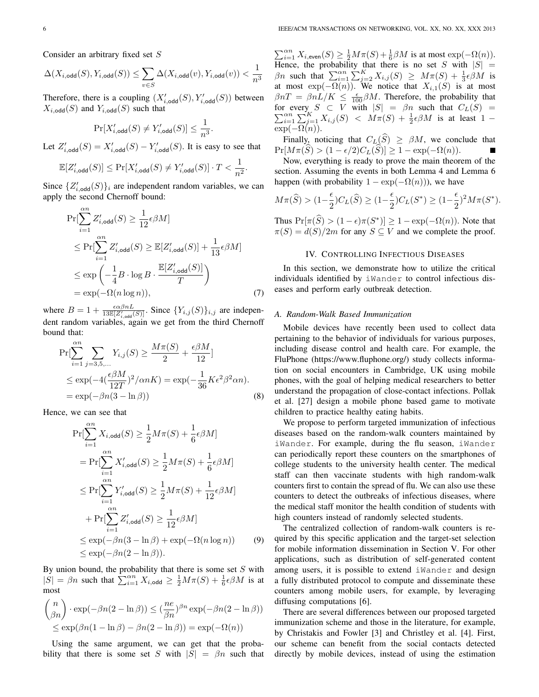Consider an arbitrary fixed set *S*

$$
\Delta(X_{i,\text{odd}}(S),Y_{i,\text{odd}}(S))\leq \sum_{v\in S}\Delta(X_{i,\text{odd}}(v),Y_{i,\text{odd}}(v))<\frac{1}{n^3}
$$

Therefore, there is a coupling  $(X'_{i,\text{odd}}(S), Y'_{i,\text{odd}}(S))$  between  $X_{i,\text{odd}}(S)$  and  $Y_{i,\text{odd}}(S)$  such that

$$
\Pr[X'_{i,\text{odd}}(S) \neq Y'_{i,\text{odd}}(S)] \leq \frac{1}{n^3}.
$$

Let  $Z'_{i,\text{odd}}(S) = X'_{i,\text{odd}}(S) - Y'_{i,\text{odd}}(S)$ . It is easy to see that

$$
\mathbb{E}[Z'_{i,\text{odd}}(S)] \le \Pr[X'_{i,\text{odd}}(S) \ne Y'_{i,\text{odd}}(S)] \cdot T < \frac{1}{n^2}.
$$

Since  $\{Z'_{i,\text{odd}}(S)\}_i$  are independent random variables, we can apply the second Chernoff bound:

$$
\Pr[\sum_{i=1}^{\infty} Z'_{i,\text{odd}}(S) \ge \frac{1}{12} \epsilon \beta M] \n\le \Pr[\sum_{i=1}^{\infty} Z'_{i,\text{odd}}(S) \ge \mathbb{E}[Z'_{i,\text{odd}}(S)] + \frac{1}{13} \epsilon \beta M] \n\le \exp\left(-\frac{1}{4}B \cdot \log B \cdot \frac{\mathbb{E}[Z'_{i,\text{odd}}(S)]}{T}\right) \n= \exp(-\Omega(n \log n)), \tag{7}
$$

where  $B = 1 + \frac{\epsilon \alpha \beta n L}{13\mathbb{E}[Z'_{i,\text{odd}}(S)]}$ . Since  $\{Y_{i,j}(S)\}_{i,j}$  are independent random variables, again we get from the third Chernoff bound that:

$$
\Pr[\sum_{i=1}^{\infty} \sum_{j=3,5,...} Y_{i,j}(S) \ge \frac{M\pi(S)}{2} + \frac{\epsilon \beta M}{12}]
$$
  
\n
$$
\le \exp(-4(\frac{\epsilon \beta M}{12T})^2 / \alpha nK) = \exp(-\frac{1}{36}K\epsilon^2 \beta^2 \alpha n).
$$
  
\n
$$
= \exp(-\beta n(3 - \ln \beta))
$$
 (8)

Hence, we can see that

$$
\Pr[\sum_{i=1}^{\infty} X_{i,\text{odd}}(S) \ge \frac{1}{2} M\pi(S) + \frac{1}{6} \epsilon \beta M]
$$
  
\n
$$
= \Pr[\sum_{i=1}^{\infty} X'_{i,\text{odd}}(S) \ge \frac{1}{2} M\pi(S) + \frac{1}{6} \epsilon \beta M]
$$
  
\n
$$
\le \Pr[\sum_{i=1}^{\infty} Y'_{i,\text{odd}}(S) \ge \frac{1}{2} M\pi(S) + \frac{1}{12} \epsilon \beta M]
$$
  
\n
$$
+ \Pr[\sum_{i=1}^{\infty} Z'_{i,\text{odd}}(S) \ge \frac{1}{12} \epsilon \beta M]
$$
  
\n
$$
\le \exp(-\beta n(3 - \ln \beta) + \exp(-\Omega(n \log n)) \qquad (9)
$$
  
\n
$$
\le \exp(-\beta n(2 - \ln \beta)).
$$

By union bound, the probability that there is some set *S* with  $|S| = \beta n$  such that  $\sum_{i=1}^{\infty} X_i$ ,  $\sum_{i=1}^{\infty} X_i$ ,  $\sum_{i=1}^{\infty} \frac{1}{2} M \pi(S) + \frac{1}{6} \epsilon \beta M$  is at most

$$
{n \choose \beta n} \cdot \exp(-\beta n(2 - \ln \beta)) \le (\frac{ne}{\beta n})^{\beta n} \exp(-\beta n(2 - \ln \beta))
$$
  

$$
\le \exp(\beta n(1 - \ln \beta) - \beta n(2 - \ln \beta)) = \exp(-\Omega(n))
$$

Using the same argument, we can get that the probability that there is some set *S* with  $|S| = \beta n$  such that  $\sum_{i=1}^{a_n} X_{i,\text{even}}(S) \ge \frac{1}{2} M \pi(S) + \frac{1}{6} \beta M$  is at most  $\exp(-\Omega(n)).$ Hence, the probability that there is no set *S* with  $|S|$  = *βn* such that  $\sum_{i=1}^{a} \sum_{j=2}^{K} X_{i,j}(S) \geq M\pi(S) + \frac{1}{3} \epsilon \beta M$  is at most  $exp(-\Omega(n))$ . We notice that  $X_{i,1}(S)$  is at most  $\beta nT = \beta nL/K \leq \frac{\epsilon}{100} \beta M$ . Therefore, the probability that ∑ for every  $S \subset V$  with  $|S| = \beta n$  such that  $C_L(S) = \sum_{i=1}^{\alpha n} \sum_{j=1}^K X_{i,j}(S) < M\pi(S) + \frac{1}{2}\epsilon\beta M$  is at least  $1 \exp(-\Omega(n)).$ 

Finally, noticing that  $C_L(S) \geq \beta M$ , we conclude that  $Pr[M\pi(S) > (1 - \epsilon/2)C_L(S)] \geq 1 - \exp(-\Omega(n)).$ 

Now, everything is ready to prove the main theorem of the section. Assuming the events in both Lemma 4 and Lemma 6 happen (with probability  $1 - \exp(-\Omega(n))$ ), we have

$$
M\pi(\widehat{S}) > (1 - \frac{\epsilon}{2})C_L(\widehat{S}) \ge (1 - \frac{\epsilon}{2})C_L(S^*) \ge (1 - \frac{\epsilon}{2})^2 M \pi(S^*).
$$

Thus  $Pr[\pi(S) > (1 - \epsilon)\pi(S^*)] \ge 1 - \exp(-\Omega(n))$ . Note that  $\pi(S) = d(S)/2m$  for any  $S \subseteq V$  and we complete the proof.

#### IV. CONTROLLING INFECTIOUS DISEASES

In this section, we demonstrate how to utilize the critical individuals identified by iWander to control infectious diseases and perform early outbreak detection.

### *A. Random-Walk Based Immunization*

Mobile devices have recently been used to collect data pertaining to the behavior of individuals for various purposes, including disease control and health care. For example, the FluPhone (https://www.fluphone.org/) study collects information on social encounters in Cambridge, UK using mobile phones, with the goal of helping medical researchers to better understand the propagation of close-contact infections. Pollak et al. [27] design a mobile phone based game to motivate children to practice healthy eating habits.

We propose to perform targeted immunization of infectious diseases based on the random-walk counters maintained by iWander. For example, during the flu season, iWander can periodically report these counters on the smartphones of college students to the university health center. The medical staff can then vaccinate students with high random-walk counters first to contain the spread of flu. We can also use these counters to detect the outbreaks of infectious diseases, where the medical staff monitor the health condition of students with high counters instead of randomly selected students.

The centralized collection of random-walk counters is required by this specific application and the target-set selection for mobile information dissemination in Section V. For other applications, such as distribution of self-generated content among users, it is possible to extend iWander and design a fully distributed protocol to compute and disseminate these counters among mobile users, for example, by leveraging diffusing computations [6].

There are several differences between our proposed targeted immunization scheme and those in the literature, for example, by Christakis and Fowler [3] and Christley et al. [4]. First, our scheme can benefit from the social contacts detected directly by mobile devices, instead of using the estimation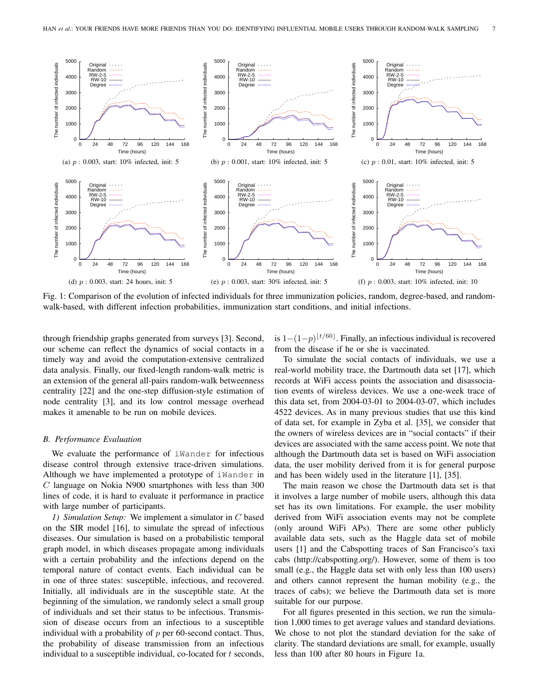

Fig. 1: Comparison of the evolution of infected individuals for three immunization policies, random, degree-based, and randomwalk-based, with different infection probabilities, immunization start conditions, and initial infections.

through friendship graphs generated from surveys [3]. Second, our scheme can reflect the dynamics of social contacts in a timely way and avoid the computation-extensive centralized data analysis. Finally, our fixed-length random-walk metric is an extension of the general all-pairs random-walk betweenness centrality [22] and the one-step diffusion-style estimation of node centrality [3], and its low control message overhead makes it amenable to be run on mobile devices.

## *B. Performance Evaluation*

We evaluate the performance of iWander for infectious disease control through extensive trace-driven simulations. Although we have implemented a prototype of iWander in *C* language on Nokia N900 smartphones with less than 300 lines of code, it is hard to evaluate it performance in practice with large number of participants.

*1) Simulation Setup:* We implement a simulator in *C* based on the SIR model [16], to simulate the spread of infectious diseases. Our simulation is based on a probabilistic temporal graph model, in which diseases propagate among individuals with a certain probability and the infections depend on the temporal nature of contact events. Each individual can be in one of three states: susceptible, infectious, and recovered. Initially, all individuals are in the susceptible state. At the beginning of the simulation, we randomly select a small group of individuals and set their status to be infectious. Transmission of disease occurs from an infectious to a susceptible individual with a probability of *p* per 60-second contact. Thus, the probability of disease transmission from an infectious individual to a susceptible individual, co-located for *t* seconds,

is 1*−*(1*−p*) *⌊t/*60*⌋* . Finally, an infectious individual is recovered from the disease if he or she is vaccinated.

To simulate the social contacts of individuals, we use a real-world mobility trace, the Dartmouth data set [17], which records at WiFi access points the association and disassociation events of wireless devices. We use a one-week trace of this data set, from 2004-03-01 to 2004-03-07, which includes 4522 devices. As in many previous studies that use this kind of data set, for example in Zyba et al. [35], we consider that the owners of wireless devices are in "social contacts" if their devices are associated with the same access point. We note that although the Dartmouth data set is based on WiFi association data, the user mobility derived from it is for general purpose and has been widely used in the literature [1], [35].

The main reason we chose the Dartmouth data set is that it involves a large number of mobile users, although this data set has its own limitations. For example, the user mobility derived from WiFi association events may not be complete (only around WiFi APs). There are some other publicly available data sets, such as the Haggle data set of mobile users [1] and the Cabspotting traces of San Francisco's taxi cabs (http://cabspotting.org/). However, some of them is too small (e.g., the Haggle data set with only less than 100 users) and others cannot represent the human mobility (e.g., the traces of cabs); we believe the Dartmouth data set is more suitable for our purpose.

For all figures presented in this section, we run the simulation 1,000 times to get average values and standard deviations. We chose to not plot the standard deviation for the sake of clarity. The standard deviations are small, for example, usually less than 100 after 80 hours in Figure 1a.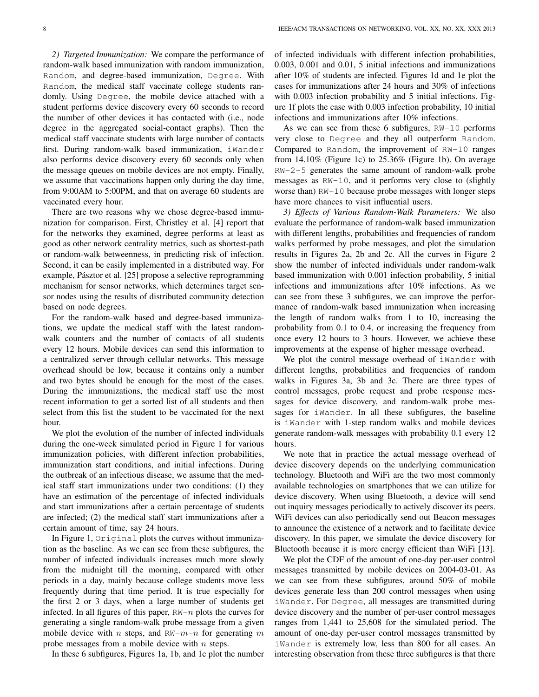*2) Targeted Immunization:* We compare the performance of random-walk based immunization with random immunization, Random, and degree-based immunization, Degree. With Random, the medical staff vaccinate college students randomly. Using Degree, the mobile device attached with a student performs device discovery every 60 seconds to record the number of other devices it has contacted with (i.e., node degree in the aggregated social-contact graphs). Then the medical staff vaccinate students with large number of contacts first. During random-walk based immunization, iWander also performs device discovery every 60 seconds only when the message queues on mobile devices are not empty. Finally, we assume that vaccinations happen only during the day time, from 9:00AM to 5:00PM, and that on average 60 students are vaccinated every hour.

There are two reasons why we chose degree-based immunization for comparison. First, Christley et al. [4] report that for the networks they examined, degree performs at least as good as other network centrality metrics, such as shortest-path or random-walk betweenness, in predicting risk of infection. Second, it can be easily implemented in a distributed way. For example, Pásztor et al. [25] propose a selective reprogramming mechanism for sensor networks, which determines target sensor nodes using the results of distributed community detection based on node degrees.

For the random-walk based and degree-based immunizations, we update the medical staff with the latest randomwalk counters and the number of contacts of all students every 12 hours. Mobile devices can send this information to a centralized server through cellular networks. This message overhead should be low, because it contains only a number and two bytes should be enough for the most of the cases. During the immunizations, the medical staff use the most recent information to get a sorted list of all students and then select from this list the student to be vaccinated for the next hour.

We plot the evolution of the number of infected individuals during the one-week simulated period in Figure 1 for various immunization policies, with different infection probabilities, immunization start conditions, and initial infections. During the outbreak of an infectious disease, we assume that the medical staff start immunizations under two conditions: (1) they have an estimation of the percentage of infected individuals and start immunizations after a certain percentage of students are infected; (2) the medical staff start immunizations after a certain amount of time, say 24 hours.

In Figure 1, Original plots the curves without immunization as the baseline. As we can see from these subfigures, the number of infected individuals increases much more slowly from the midnight till the morning, compared with other periods in a day, mainly because college students move less frequently during that time period. It is true especially for the first 2 or 3 days, when a large number of students get infected. In all figures of this paper, RW-*n* plots the curves for generating a single random-walk probe message from a given mobile device with *n* steps, and RW-*m*-*n* for generating *m* probe messages from a mobile device with *n* steps.

In these 6 subfigures, Figures 1a, 1b, and 1c plot the number

of infected individuals with different infection probabilities, 0.003, 0.001 and 0.01, 5 initial infections and immunizations after 10% of students are infected. Figures 1d and 1e plot the cases for immunizations after 24 hours and 30% of infections with 0.003 infection probability and 5 initial infections. Figure 1f plots the case with 0.003 infection probability, 10 initial infections and immunizations after 10% infections.

As we can see from these 6 subfigures, RW-10 performs very close to Degree and they all outperform Random. Compared to Random, the improvement of RW-10 ranges from 14.10% (Figure 1c) to 25.36% (Figure 1b). On average RW-2-5 generates the same amount of random-walk probe messages as RW-10, and it performs very close to (slightly worse than) RW-10 because probe messages with longer steps have more chances to visit influential users.

*3) Effects of Various Random-Walk Parameters:* We also evaluate the performance of random-walk based immunization with different lengths, probabilities and frequencies of random walks performed by probe messages, and plot the simulation results in Figures 2a, 2b and 2c. All the curves in Figure 2 show the number of infected individuals under random-walk based immunization with 0.001 infection probability, 5 initial infections and immunizations after 10% infections. As we can see from these 3 subfigures, we can improve the performance of random-walk based immunization when increasing the length of random walks from 1 to 10, increasing the probability from 0.1 to 0.4, or increasing the frequency from once every 12 hours to 3 hours. However, we achieve these improvements at the expense of higher message overhead.

We plot the control message overhead of iWander with different lengths, probabilities and frequencies of random walks in Figures 3a, 3b and 3c. There are three types of control messages, probe request and probe response messages for device discovery, and random-walk probe messages for iWander. In all these subfigures, the baseline is iWander with 1-step random walks and mobile devices generate random-walk messages with probability 0.1 every 12 hours.

We note that in practice the actual message overhead of device discovery depends on the underlying communication technology. Bluetooth and WiFi are the two most commonly available technologies on smartphones that we can utilize for device discovery. When using Bluetooth, a device will send out inquiry messages periodically to actively discover its peers. WiFi devices can also periodically send out Beacon messages to announce the existence of a network and to facilitate device discovery. In this paper, we simulate the device discovery for Bluetooth because it is more energy efficient than WiFi [13].

We plot the CDF of the amount of one-day per-user control messages transmitted by mobile devices on 2004-03-01. As we can see from these subfigures, around 50% of mobile devices generate less than 200 control messages when using iWander. For Degree, all messages are transmitted during device discovery and the number of per-user control messages ranges from 1,441 to 25,608 for the simulated period. The amount of one-day per-user control messages transmitted by iWander is extremely low, less than 800 for all cases. An interesting observation from these three subfigures is that there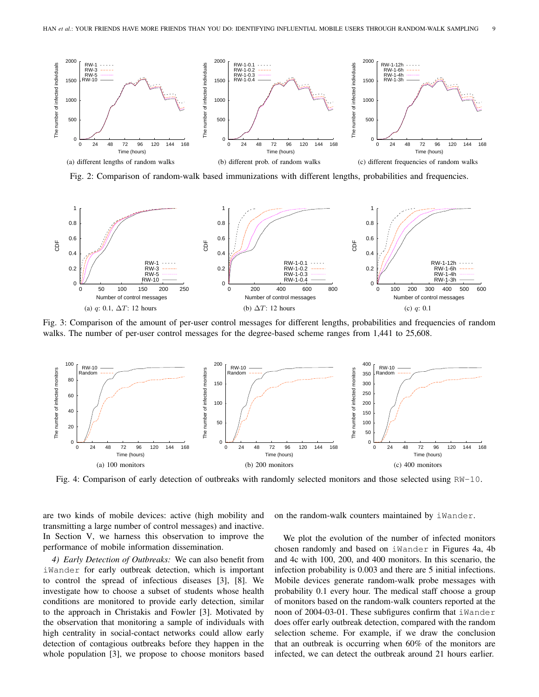

Fig. 2: Comparison of random-walk based immunizations with different lengths, probabilities and frequencies.



Fig. 3: Comparison of the amount of per-user control messages for different lengths, probabilities and frequencies of random walks. The number of per-user control messages for the degree-based scheme ranges from 1,441 to 25,608.



Fig. 4: Comparison of early detection of outbreaks with randomly selected monitors and those selected using RW-10.

are two kinds of mobile devices: active (high mobility and transmitting a large number of control messages) and inactive. In Section V, we harness this observation to improve the performance of mobile information dissemination.

*4) Early Detection of Outbreaks:* We can also benefit from iWander for early outbreak detection, which is important to control the spread of infectious diseases [3], [8]. We investigate how to choose a subset of students whose health conditions are monitored to provide early detection, similar to the approach in Christakis and Fowler [3]. Motivated by the observation that monitoring a sample of individuals with high centrality in social-contact networks could allow early detection of contagious outbreaks before they happen in the whole population [3], we propose to choose monitors based on the random-walk counters maintained by iWander.

We plot the evolution of the number of infected monitors chosen randomly and based on iWander in Figures 4a, 4b and 4c with 100, 200, and 400 monitors. In this scenario, the infection probability is 0.003 and there are 5 initial infections. Mobile devices generate random-walk probe messages with probability 0.1 every hour. The medical staff choose a group of monitors based on the random-walk counters reported at the noon of 2004-03-01. These subfigures confirm that iWander does offer early outbreak detection, compared with the random selection scheme. For example, if we draw the conclusion that an outbreak is occurring when 60% of the monitors are infected, we can detect the outbreak around 21 hours earlier.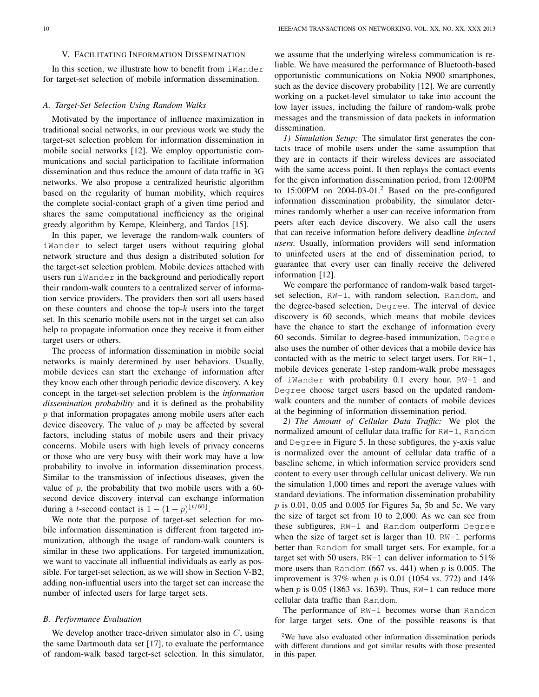#### V. FACILITATING INFORMATION DISSEMINATION

In this section, we illustrate how to benefit from iMander for target-set selection of mobile information dissemination.

#### *A. Target-Set Selection Using Random Walks*

Motivated by the importance of influence maximization in traditional social networks, in our previous work we study the target-set selection problem for information dissemination in mobile social networks [12]. We employ opportunistic communications and social participation to facilitate information dissemination and thus reduce the amount of data traffic in 3G networks. We also propose a centralized heuristic algorithm based on the regularity of human mobility, which requires the complete social-contact graph of a given time period and shares the same computational inefficiency as the original greedy algorithm by Kempe, Kleinberg, and Tardos [15].

In this paper, we leverage the random-walk counters of iWander to select target users without requiring global network structure and thus design a distributed solution for the target-set selection problem. Mobile devices attached with users run iWander in the background and periodically report their random-walk counters to a centralized server of information service providers. The providers then sort all users based on these counters and choose the top-*k* users into the target set. In this scenario mobile users not in the target set can also help to propagate information once they receive it from either target users or others.

The process of information dissemination in mobile social networks is mainly determined by user behaviors. Usually, mobile devices can start the exchange of information after they know each other through periodic device discovery. A key concept in the target-set selection problem is the *information dissemination probability* and it is defined as the probability *p* that information propagates among mobile users after each device discovery. The value of *p* may be affected by several factors, including status of mobile users and their privacy concerns. Mobile users with high levels of privacy concerns or those who are very busy with their work may have a low probability to involve in information dissemination process. Similar to the transmission of infectious diseases, given the value of  $p$ , the probability that two mobile users with a  $60$ second device discovery interval can exchange information during a *t*-second contact is  $1 - (1 - p)^{\lfloor t/60 \rfloor}$ .

We note that the purpose of target-set selection for mobile information dissemination is different from targeted immunization, although the usage of random-walk counters is similar in these two applications. For targeted immunization, we want to vaccinate all influential individuals as early as possible. For target-set selection, as we will show in Section V-B2, adding non-influential users into the target set can increase the number of infected users for large target sets.

## *B. Performance Evaluation*

We develop another trace-driven simulator also in *C*, using the same Dartmouth data set [17], to evaluate the performance of random-walk based target-set selection. In this simulator,

we assume that the underlying wireless communication is reliable. We have measured the performance of Bluetooth-based opportunistic communications on Nokia N900 smartphones, such as the device discovery probability [12]. We are currently working on a packet-level simulator to take into account the low layer issues, including the failure of random-walk probe messages and the transmission of data packets in information dissemination.

*1) Simulation Setup:* The simulator first generates the contacts trace of mobile users under the same assumption that they are in contacts if their wireless devices are associated with the same access point. It then replays the contact events for the given information dissemination period, from 12:00PM to  $15:00$ PM on  $2004-03-01$ .<sup>2</sup> Based on the pre-configured information dissemination probability, the simulator determines randomly whether a user can receive information from peers after each device discovery. We also call the users that can receive information before delivery deadline *infected users*. Usually, information providers will send information to uninfected users at the end of dissemination period, to guarantee that every user can finally receive the delivered information [12].

We compare the performance of random-walk based targetset selection, RW-1, with random selection, Random, and the degree-based selection, Degree. The interval of device discovery is 60 seconds, which means that mobile devices have the chance to start the exchange of information every 60 seconds. Similar to degree-based immunization, Degree also uses the number of other devices that a mobile device has contacted with as the metric to select target users. For RW-1, mobile devices generate 1-step random-walk probe messages of iWander with probability 0.1 every hour. RW-1 and Degree choose target users based on the updated randomwalk counters and the number of contacts of mobile devices at the beginning of information dissemination period.

*2) The Amount of Cellular Data Traffic:* We plot the normalized amount of cellular data traffic for RW-1, Random and Degree in Figure 5. In these subfigures, the y-axis value is normalized over the amount of cellular data traffic of a baseline scheme, in which information service providers send content to every user through cellular unicast delivery. We run the simulation 1,000 times and report the average values with standard deviations. The information dissemination probability *p* is 0.01, 0.05 and 0.005 for Figures 5a, 5b and 5c. We vary the size of target set from 10 to 2,000. As we can see from these subfigures, RW-1 and Random outperform Degree when the size of target set is larger than 10. RW-1 performs better than Random for small target sets. For example, for a target set with 50 users,  $RW-1$  can deliver information to 51% more users than Random (667 vs. 441) when *p* is 0.005. The improvement is 37% when *p* is 0.01 (1054 vs. 772) and 14% when  $p$  is 0.05 (1863 vs. 1639). Thus,  $RW-1$  can reduce more cellular data traffic than Random.

The performance of RW-1 becomes worse than Random for large target sets. One of the possible reasons is that

<sup>2</sup>We have also evaluated other information dissemination periods with different durations and got similar results with those presented in this paper.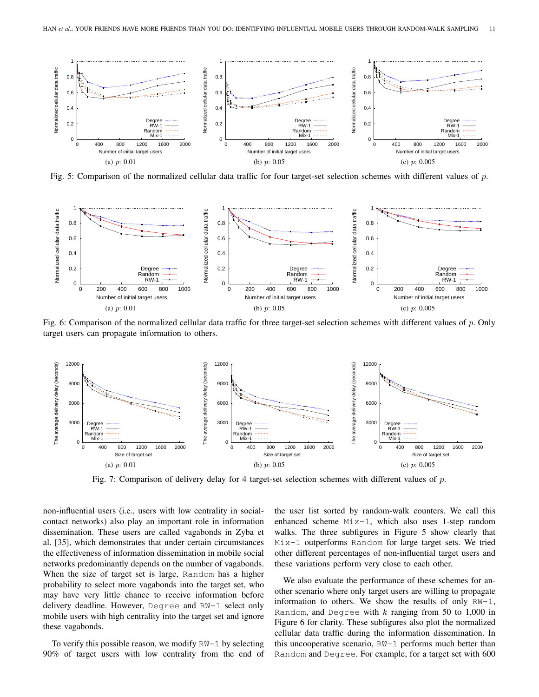

Fig. 5: Comparison of the normalized cellular data traffic for four target-set selection schemes with different values of *p*.



Fig. 6: Comparison of the normalized cellular data traffic for three target-set selection schemes with different values of *p*. Only target users can propagate information to others.



Fig. 7: Comparison of delivery delay for 4 target-set selection schemes with different values of *p*.

non-influential users (i.e., users with low centrality in socialcontact networks) also play an important role in information dissemination. These users are called vagabonds in Zyba et al. [35], which demonstrates that under certain circumstances the effectiveness of information dissemination in mobile social networks predominantly depends on the number of vagabonds. When the size of target set is large, Random has a higher probability to select more vagabonds into the target set, who may have very little chance to receive information before delivery deadline. However, Degree and RW-1 select only mobile users with high centrality into the target set and ignore these vagabonds.

To verify this possible reason, we modify  $RN-1$  by selecting 90% of target users with low centrality from the end of the user list sorted by random-walk counters. We call this enhanced scheme Mix-1, which also uses 1-step random walks. The three subfigures in Figure 5 show clearly that Mix-1 outperforms Random for large target sets. We tried other different percentages of non-influential target users and these variations perform very close to each other.

We also evaluate the performance of these schemes for another scenario where only target users are willing to propagate information to others. We show the results of only  $RW-1$ , Random, and Degree with *k* ranging from 50 to 1,000 in Figure 6 for clarity. These subfigures also plot the normalized cellular data traffic during the information dissemination. In this uncooperative scenario, RW-1 performs much better than Random and Degree. For example, for a target set with 600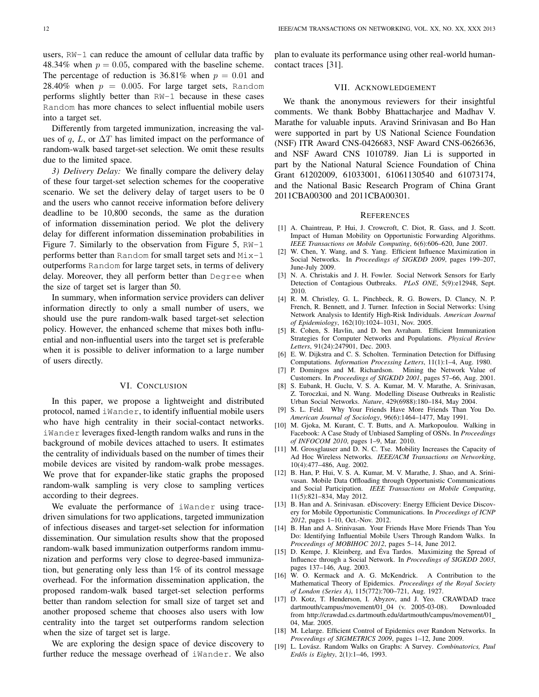users, RW-1 can reduce the amount of cellular data traffic by 48.34% when  $p = 0.05$ , compared with the baseline scheme. The percentage of reduction is  $36.81\%$  when  $p = 0.01$  and 28.40% when  $p = 0.005$ . For large target sets, Random performs slightly better than RW-1 because in these cases Random has more chances to select influential mobile users into a target set.

Differently from targeted immunization, increasing the values of *q*, *L*, or  $\Delta T$  has limited impact on the performance of random-walk based target-set selection. We omit these results due to the limited space.

*3) Delivery Delay:* We finally compare the delivery delay of these four target-set selection schemes for the cooperative scenario. We set the delivery delay of target users to be 0 and the users who cannot receive information before delivery deadline to be 10,800 seconds, the same as the duration of information dissemination period. We plot the delivery delay for different information dissemination probabilities in Figure 7. Similarly to the observation from Figure 5,  $RN-1$ performs better than Random for small target sets and Mix-1 outperforms Random for large target sets, in terms of delivery delay. Moreover, they all perform better than Degree when the size of target set is larger than 50.

In summary, when information service providers can deliver information directly to only a small number of users, we should use the pure random-walk based target-set selection policy. However, the enhanced scheme that mixes both influential and non-influential users into the target set is preferable when it is possible to deliver information to a large number of users directly.

## VI. CONCLUSION

In this paper, we propose a lightweight and distributed protocol, named iWander, to identify influential mobile users who have high centrality in their social-contact networks. iWander leverages fixed-length random walks and runs in the background of mobile devices attached to users. It estimates the centrality of individuals based on the number of times their mobile devices are visited by random-walk probe messages. We prove that for expander-like static graphs the proposed random-walk sampling is very close to sampling vertices according to their degrees.

We evaluate the performance of iWander using tracedriven simulations for two applications, targeted immunization of infectious diseases and target-set selection for information dissemination. Our simulation results show that the proposed random-walk based immunization outperforms random immunization and performs very close to degree-based immunization, but generating only less than 1% of its control message overhead. For the information dissemination application, the proposed random-walk based target-set selection performs better than random selection for small size of target set and another proposed scheme that chooses also users with low centrality into the target set outperforms random selection when the size of target set is large.

We are exploring the design space of device discovery to further reduce the message overhead of iWander. We also plan to evaluate its performance using other real-world humancontact traces [31].

## VII. ACKNOWLEDGEMENT

We thank the anonymous reviewers for their insightful comments. We thank Bobby Bhattacharjee and Madhav V. Marathe for valuable inputs. Aravind Srinivasan and Bo Han were supported in part by US National Science Foundation (NSF) ITR Award CNS-0426683, NSF Award CNS-0626636, and NSF Award CNS 1010789. Jian Li is supported in part by the National Natural Science Foundation of China Grant 61202009, 61033001, 61061130540 and 61073174, and the National Basic Research Program of China Grant 2011CBA00300 and 2011CBA00301.

#### **REFERENCES**

- [1] A. Chaintreau, P. Hui, J. Crowcroft, C. Diot, R. Gass, and J. Scott. Impact of Human Mobility on Opportunistic Forwarding Algorithms. *IEEE Transactions on Mobile Computing*, 6(6):606–620, June 2007.
- [2] W. Chen, Y. Wang, and S. Yang. Efficient Influence Maximization in Social Networks. In *Proceedings of SIGKDD 2009*, pages 199–207, June-July 2009.
- [3] N. A. Christakis and J. H. Fowler. Social Network Sensors for Early Detection of Contagious Outbreaks. *PLoS ONE*, 5(9):e12948, Sept. 2010.
- [4] R. M. Christley, G. L. Pinchbeck, R. G. Bowers, D. Clancy, N. P. French, R. Bennett, and J. Turner. Infection in Social Networks: Using Network Analysis to Identify High-Risk Individuals. *American Journal of Epidemiology*, 162(10):1024–1031, Nov. 2005.
- [5] R. Cohen, S. Havlin, and D. ben Avraham. Efficient Immunization Strategies for Computer Networks and Populations. *Physical Review Letters*, 91(24):247901, Dec. 2003.
- [6] E. W. Dijkstra and C. S. Scholten. Termination Detection for Diffusing Computations. *Information Processing Letters*, 11(1):1–4, Aug. 1980.
- [7] P. Domingos and M. Richardson. Mining the Network Value of Customers. In *Proceedings of SIGKDD 2001*, pages 57–66, Aug. 2001.
- [8] S. Eubank, H. Guclu, V. S. A. Kumar, M. V. Marathe, A. Srinivasan, Z. Toroczkai, and N. Wang. Modelling Disease Outbreaks in Realistic Urban Social Networks. *Nature*, 429(6988):180–184, May 2004.
- [9] S. L. Feld. Why Your Friends Have More Friends Than You Do. *American Journal of Sociology*, 96(6):1464–1477, May 1991.
- [10] M. Gjoka, M. Kurant, C. T. Butts, and A. Markopoulou. Walking in Facebook: A Case Study of Unbiased Sampling of OSNs. In *Proceedings of INFOCOM 2010*, pages 1–9, Mar. 2010.
- [11] M. Grossglauser and D. N. C. Tse. Mobility Increases the Capacity of Ad Hoc Wireless Networks. *IEEE/ACM Transactions on Networking*, 10(4):477–486, Aug. 2002.
- [12] B. Han, P. Hui, V. S. A. Kumar, M. V. Marathe, J. Shao, and A. Srinivasan. Mobile Data Offloading through Opportunistic Communications and Social Participation. *IEEE Transactions on Mobile Computing*, 11(5):821–834, May 2012.
- [13] B. Han and A. Srinivasan. eDiscovery: Energy Efficient Device Discovery for Mobile Opportunistic Communications. In *Proceedings of ICNP 2012*, pages 1–10, Oct.-Nov. 2012.
- [14] B. Han and A. Srinivasan. Your Friends Have More Friends Than You Do: Identifying Influential Mobile Users Through Random Walks. In *Proceedings of MOBIHOC 2012*, pages 5–14, June 2012.
- [15] D. Kempe, J. Kleinberg, and Éva Tardos. Maximizing the Spread of Influence through a Social Network. In *Proceedings of SIGKDD 2003*, pages 137–146, Aug. 2003.
- [16] W. O. Kermack and A. G. McKendrick. A Contribution to the Mathematical Theory of Epidemics. *Proceedings of the Royal Society of London (Series A)*, 115(772):700–721, Aug. 1927.
- [17] D. Kotz, T. Henderson, I. Abyzov, and J. Yeo. CRAWDAD trace dartmouth/campus/movement/01\_04 (v. 2005-03-08). Downloaded from http://crawdad.cs.dartmouth.edu/dartmouth/campus/movement/01 04, Mar. 2005.
- [18] M. Lelarge. Efficient Control of Epidemics over Random Networks. In *Proceedings of SIGMETRICS 2009*, pages 1–12, June 2009.
- [19] L. Lovász. Random Walks on Graphs: A Survey. Combinatorics, Paul *Erdős is Eighty*, 2(1):1-46, 1993.